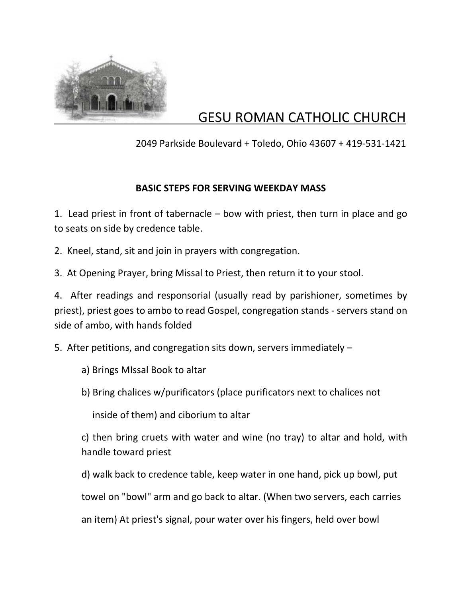

## GESU ROMAN CATHOLIC CHURCH

2049 Parkside Boulevard + Toledo, Ohio 43607 + 419-531-1421

## **BASIC STEPS FOR SERVING WEEKDAY MASS**

1. Lead priest in front of tabernacle – bow with priest, then turn in place and go to seats on side by credence table.

2. Kneel, stand, sit and join in prayers with congregation.

3. At Opening Prayer, bring Missal to Priest, then return it to your stool.

4. After readings and responsorial (usually read by parishioner, sometimes by priest), priest goes to ambo to read Gospel, congregation stands - servers stand on side of ambo, with hands folded

5. After petitions, and congregation sits down, servers immediately –

a) Brings MIssal Book to altar

b) Bring chalices w/purificators (place purificators next to chalices not

inside of them) and ciborium to altar

c) then bring cruets with water and wine (no tray) to altar and hold, with handle toward priest

d) walk back to credence table, keep water in one hand, pick up bowl, put

towel on "bowl" arm and go back to altar. (When two servers, each carries

an item) At priest's signal, pour water over his fingers, held over bowl